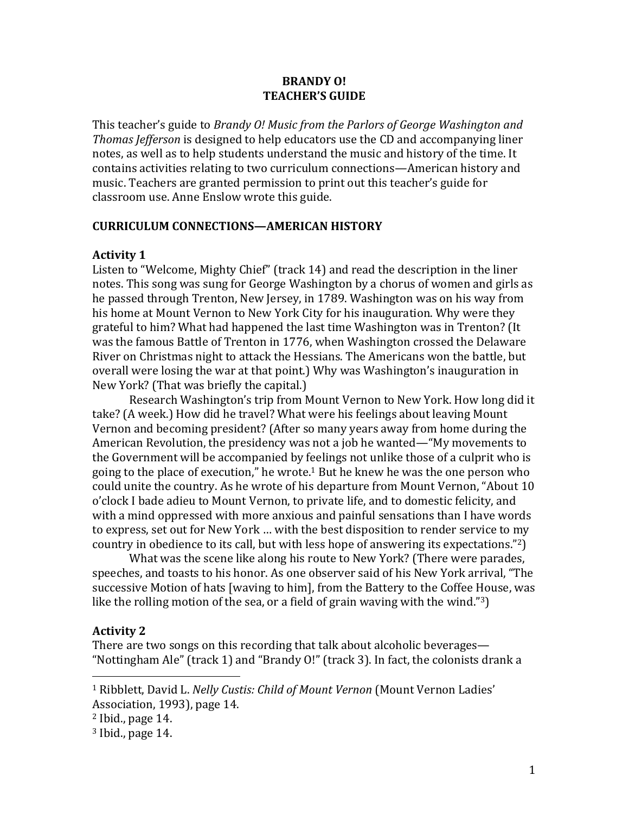### **BRANDY 0! TEACHER'S GUIDE**

This teacher's guide to *Brandy O! Music from the Parlors of George Washington and Thomas Jefferson* is designed to help educators use the CD and accompanying liner notes, as well as to help students understand the music and history of the time. It contains activities relating to two curriculum connections—American history and music. Teachers are granted permission to print out this teacher's guide for classroom use. Anne Enslow wrote this guide.

### **CURRICULUM CONNECTIONS—AMERICAN HISTORY**

### **Activity 1**

Listen to "Welcome, Mighty Chief" (track 14) and read the description in the liner notes. This song was sung for George Washington by a chorus of women and girls as he passed through Trenton, New Jersey, in 1789. Washington was on his way from his home at Mount Vernon to New York City for his inauguration. Why were they grateful to him? What had happened the last time Washington was in Trenton? (It was the famous Battle of Trenton in 1776, when Washington crossed the Delaware River on Christmas night to attack the Hessians. The Americans won the battle, but overall were losing the war at that point.) Why was Washington's inauguration in New York? (That was briefly the capital.)

Research Washington's trip from Mount Vernon to New York. How long did it take? (A week.) How did he travel? What were his feelings about leaving Mount Vernon and becoming president? (After so many years away from home during the American Revolution, the presidency was not a job he wanted—"My movements to the Government will be accompanied by feelings not unlike those of a culprit who is going to the place of execution," he wrote.<sup>1</sup> But he knew he was the one person who could unite the country. As he wrote of his departure from Mount Vernon, "About 10 o'clock I bade adieu to Mount Vernon, to private life, and to domestic felicity, and with a mind oppressed with more anxious and painful sensations than I have words to express, set out for New York ... with the best disposition to render service to my country in obedience to its call, but with less hope of answering its expectations."<sup>2</sup>)

What was the scene like along his route to New York? (There were parades, speeches, and toasts to his honor. As one observer said of his New York arrival, "The successive Motion of hats [waving to him], from the Battery to the Coffee House, was like the rolling motion of the sea, or a field of grain waving with the wind."3)

### **Activity 2**

There are two songs on this recording that talk about alcoholic beverages— "Nottingham Ale" (track 1) and "Brandy O!" (track 3). In fact, the colonists drank a

<sup>&</sup>lt;sup>1</sup> Ribblett, David L. Nelly Custis: Child of Mount Vernon (Mount Vernon Ladies' Association, 1993), page 14.

 $2$  Ibid., page  $14$ .

 $3$  Ibid., page 14.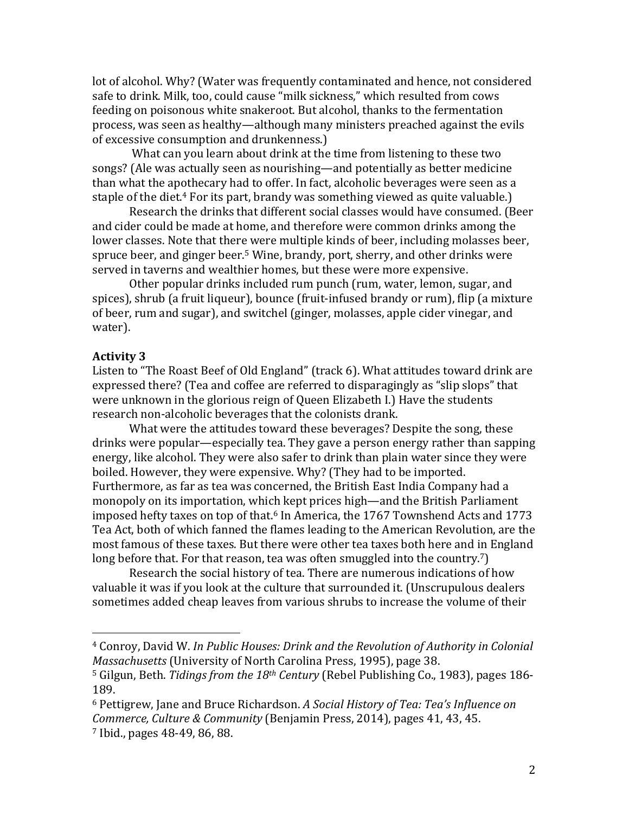lot of alcohol. Why? (Water was frequently contaminated and hence, not considered safe to drink. Milk, too, could cause "milk sickness," which resulted from cows feeding on poisonous white snakeroot. But alcohol, thanks to the fermentation process, was seen as healthy—although many ministers preached against the evils of excessive consumption and drunkenness.

What can you learn about drink at the time from listening to these two songs? (Ale was actually seen as nourishing—and potentially as better medicine than what the apothecary had to offer. In fact, alcoholic beverages were seen as a staple of the diet.<sup>4</sup> For its part, brandy was something viewed as quite valuable.)

Research the drinks that different social classes would have consumed. (Beer and cider could be made at home, and therefore were common drinks among the lower classes. Note that there were multiple kinds of beer, including molasses beer, spruce beer, and ginger beer.<sup>5</sup> Wine, brandy, port, sherry, and other drinks were served in taverns and wealthier homes, but these were more expensive.

Other popular drinks included rum punch (rum, water, lemon, sugar, and spices), shrub (a fruit liqueur), bounce (fruit-infused brandy or rum), flip (a mixture of beer, rum and sugar), and switchel (ginger, molasses, apple cider vinegar, and water).

### **Activity 3**

 

Listen to "The Roast Beef of Old England" (track 6). What attitudes toward drink are expressed there? (Tea and coffee are referred to disparagingly as "slip slops" that were unknown in the glorious reign of Queen Elizabeth I.) Have the students research non-alcoholic beverages that the colonists drank.

What were the attitudes toward these beverages? Despite the song, these drinks were popular—especially tea. They gave a person energy rather than sapping energy, like alcohol. They were also safer to drink than plain water since they were boiled. However, they were expensive. Why? (They had to be imported. Furthermore, as far as tea was concerned, the British East India Company had a monopoly on its importation, which kept prices high—and the British Parliament imposed hefty taxes on top of that.<sup>6</sup> In America, the 1767 Townshend Acts and 1773 Tea Act, both of which fanned the flames leading to the American Revolution, are the most famous of these taxes. But there were other tea taxes both here and in England long before that. For that reason, tea was often smuggled into the country.<sup>7</sup>)

Research the social history of tea. There are numerous indications of how valuable it was if you look at the culture that surrounded it. (Unscrupulous dealers sometimes added cheap leaves from various shrubs to increase the volume of their

<sup>&</sup>lt;sup>4</sup> Conroy, David W. In Public Houses: Drink and the Revolution of Authority in Colonial *Massachusetts* (University of North Carolina Press, 1995), page 38.

<sup>&</sup>lt;sup>5</sup> Gilgun, Beth. *Tidings from the 18<sup>th</sup> Century* (Rebel Publishing Co., 1983), pages 186-189.

<sup>&</sup>lt;sup>6</sup> Pettigrew, Jane and Bruce Richardson. A Social History of Tea: Tea's Influence on *Commerce, Culture & Community* (Benjamin Press, 2014), pages 41, 43, 45.  $7$  Ibid., pages 48-49, 86, 88.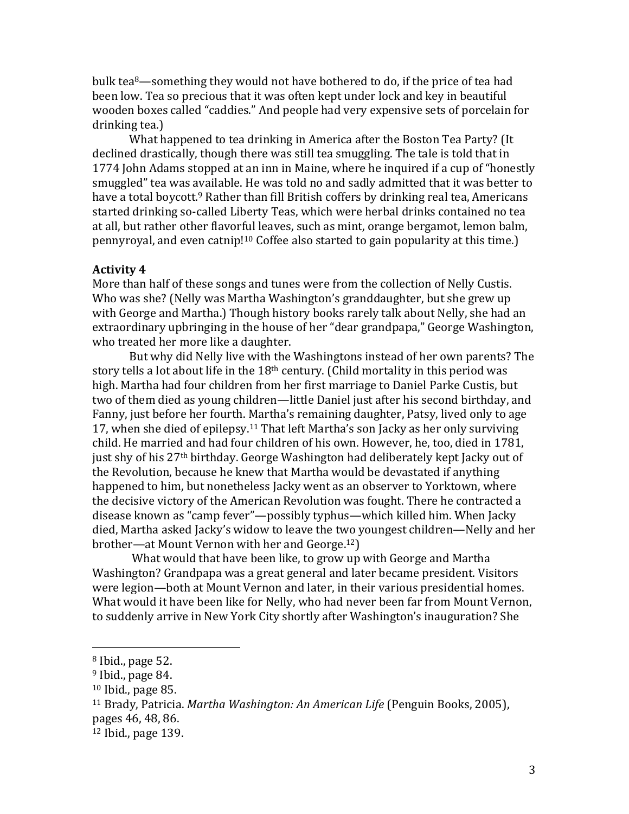bulk tea<sup>8</sup>—something they would not have bothered to do, if the price of tea had been low. Tea so precious that it was often kept under lock and key in beautiful wooden boxes called "caddies." And people had very expensive sets of porcelain for drinking tea.)

What happened to tea drinking in America after the Boston Tea Party? (It declined drastically, though there was still tea smuggling. The tale is told that in 1774 John Adams stopped at an inn in Maine, where he inquired if a cup of "honestly smuggled" tea was available. He was told no and sadly admitted that it was better to have a total boycott.<sup>9</sup> Rather than fill British coffers by drinking real tea, Americans started drinking so-called Liberty Teas, which were herbal drinks contained no tea at all, but rather other flavorful leaves, such as mint, orange bergamot, lemon balm, pennyroyal, and even catnip!<sup>10</sup> Coffee also started to gain popularity at this time.)

### **Activity 4**

More than half of these songs and tunes were from the collection of Nelly Custis. Who was she? (Nelly was Martha Washington's granddaughter, but she grew up with George and Martha.) Though history books rarely talk about Nelly, she had an extraordinary upbringing in the house of her "dear grandpapa," George Washington, who treated her more like a daughter.

But why did Nelly live with the Washingtons instead of her own parents? The story tells a lot about life in the  $18<sup>th</sup>$  century. (Child mortality in this period was high. Martha had four children from her first marriage to Daniel Parke Custis, but two of them died as young children—little Daniel just after his second birthday, and Fanny, just before her fourth. Martha's remaining daughter, Patsy, lived only to age 17, when she died of epilepsy.<sup>11</sup> That left Martha's son Jacky as her only surviving child. He married and had four children of his own. However, he, too, died in 1781, just shy of his 27<sup>th</sup> birthday. George Washington had deliberately kept Jacky out of the Revolution, because he knew that Martha would be devastated if anything happened to him, but nonetheless Jacky went as an observer to Yorktown, where the decisive victory of the American Revolution was fought. There he contracted a disease known as "camp fever"—possibly typhus—which killed him. When Jacky died, Martha asked Jacky's widow to leave the two youngest children—Nelly and her brother—at Mount Vernon with her and George.<sup>12</sup>)

What would that have been like, to grow up with George and Martha Washington? Grandpapa was a great general and later became president. Visitors were legion—both at Mount Vernon and later, in their various presidential homes. What would it have been like for Nelly, who had never been far from Mount Vernon, to suddenly arrive in New York City shortly after Washington's inauguration? She

 $8$  Ibid., page 52.

 $9$  Ibid., page 84.

 $10$  Ibid., page 85.

<sup>&</sup>lt;sup>11</sup> Brady, Patricia. *Martha Washington: An American Life* (Penguin Books, 2005),

pages 46, 48, 86.

 $12$  Ibid., page 139.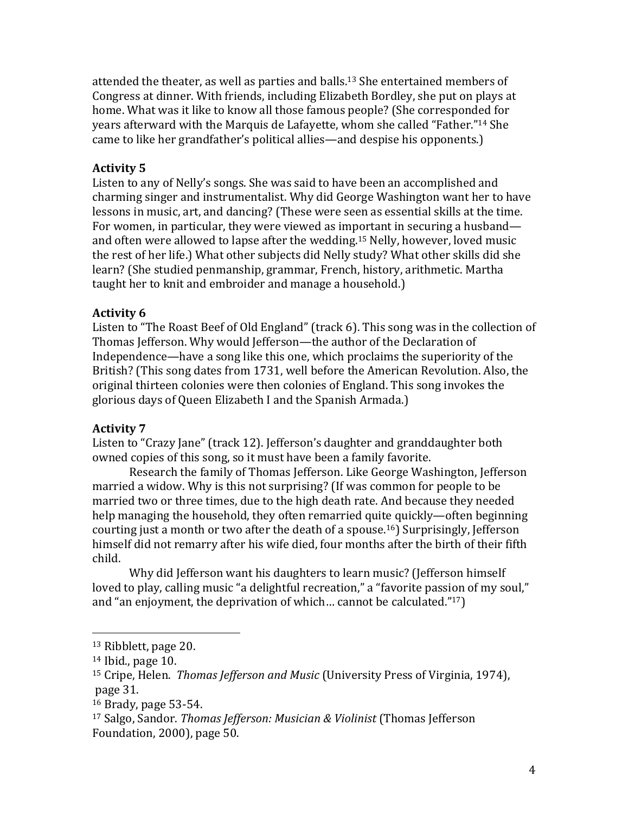attended the theater, as well as parties and balls.<sup>13</sup> She entertained members of Congress at dinner. With friends, including Elizabeth Bordley, she put on plays at home. What was it like to know all those famous people? (She corresponded for years afterward with the Marquis de Lafayette, whom she called "Father."<sup>14</sup> She came to like her grandfather's political allies—and despise his opponents.)

### **Activity 5**

Listen to any of Nelly's songs. She was said to have been an accomplished and charming singer and instrumentalist. Why did George Washington want her to have lessons in music, art, and dancing? (These were seen as essential skills at the time. For women, in particular, they were viewed as important in securing a husband and often were allowed to lapse after the wedding.<sup>15</sup> Nelly, however, loved music the rest of her life.) What other subjects did Nelly study? What other skills did she learn? (She studied penmanship, grammar, French, history, arithmetic. Martha taught her to knit and embroider and manage a household.)

### **Activity 6**

Listen to "The Roast Beef of Old England" (track 6). This song was in the collection of Thomas Jefferson. Why would Jefferson—the author of the Declaration of Independence—have a song like this one, which proclaims the superiority of the British? (This song dates from 1731, well before the American Revolution. Also, the original thirteen colonies were then colonies of England. This song invokes the glorious days of Queen Elizabeth I and the Spanish Armada.)

#### **Activity 7**

Listen to "Crazy Jane" (track 12). Jefferson's daughter and granddaughter both owned copies of this song, so it must have been a family favorite.

Research the family of Thomas Jefferson. Like George Washington, Jefferson married a widow. Why is this not surprising? (If was common for people to be married two or three times, due to the high death rate. And because they needed help managing the household, they often remarried quite quickly—often beginning courting just a month or two after the death of a spouse.<sup>16</sup>) Surprisingly, Jefferson himself did not remarry after his wife died, four months after the birth of their fifth child. 

Why did Jefferson want his daughters to learn music? (Jefferson himself loved to play, calling music "a delightful recreation," a "favorite passion of my soul," and "an enjoyment, the deprivation of which... cannot be calculated." $17$ )

 $13$  Ribblett, page 20.

 $14$  Ibid., page 10.

<sup>&</sup>lt;sup>15</sup> Cripe, Helen. *Thomas Jefferson and Music* (University Press of Virginia, 1974), page 31.

 $16$  Brady, page 53-54.

<sup>&</sup>lt;sup>17</sup> Salgo, Sandor. *Thomas Jefferson: Musician & Violinist* (Thomas Jefferson Foundation, 2000), page 50.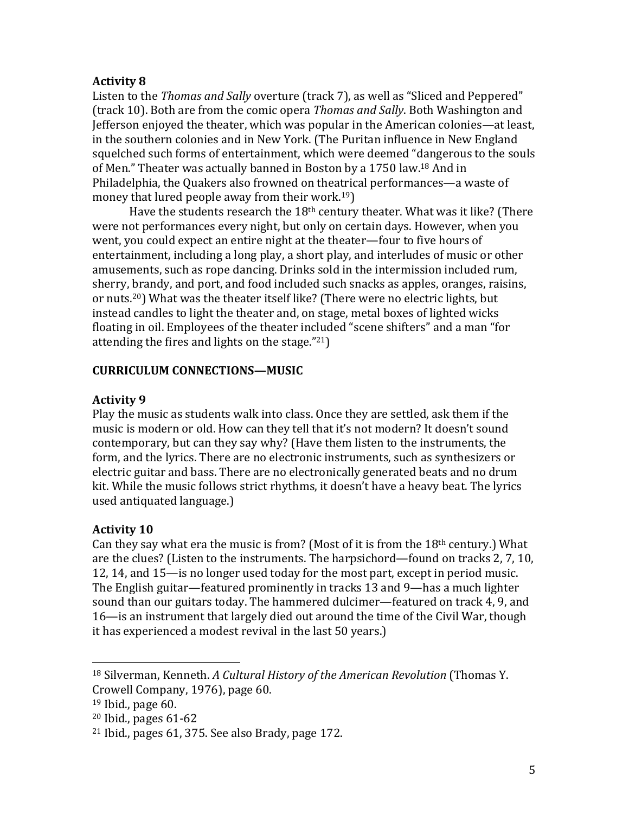## **Activity 8**

Listen to the *Thomas and Sally* overture (track 7), as well as "Sliced and Peppered" (track 10). Both are from the comic opera *Thomas and Sally*. Both Washington and Jefferson enjoyed the theater, which was popular in the American colonies—at least, in the southern colonies and in New York. (The Puritan influence in New England squelched such forms of entertainment, which were deemed "dangerous to the souls of Men." Theater was actually banned in Boston by a 1750 law.<sup>18</sup> And in Philadelphia, the Quakers also frowned on theatrical performances—a waste of money that lured people away from their work.<sup>19</sup>)

Have the students research the  $18<sup>th</sup>$  century theater. What was it like? (There were not performances every night, but only on certain days. However, when you went, you could expect an entire night at the theater—four to five hours of entertainment, including a long play, a short play, and interludes of music or other amusements, such as rope dancing. Drinks sold in the intermission included rum, sherry, brandy, and port, and food included such snacks as apples, oranges, raisins, or nuts.<sup>20</sup>) What was the theater itself like? (There were no electric lights, but instead candles to light the theater and, on stage, metal boxes of lighted wicks floating in oil. Employees of the theater included "scene shifters" and a man "for attending the fires and lights on the stage." $21$ )

## **CURRICULUM CONNECTIONS—MUSIC**

## **Activity 9**

Play the music as students walk into class. Once they are settled, ask them if the music is modern or old. How can they tell that it's not modern? It doesn't sound contemporary, but can they say why? (Have them listen to the instruments, the form, and the lyrics. There are no electronic instruments, such as synthesizers or electric guitar and bass. There are no electronically generated beats and no drum kit. While the music follows strict rhythms, it doesn't have a heavy beat. The lyrics used antiquated language.)

## **Activity 10**

Can they say what era the music is from? (Most of it is from the  $18<sup>th</sup>$  century.) What are the clues? (Listen to the instruments. The harpsichord—found on tracks 2, 7, 10, 12, 14, and 15—is no longer used today for the most part, except in period music. The English guitar—featured prominently in tracks 13 and 9—has a much lighter sound than our guitars today. The hammered dulcimer—featured on track 4, 9, and 16—is an instrument that largely died out around the time of the Civil War, though it has experienced a modest revival in the last 50 years.)

<sup>&</sup>lt;sup>18</sup> Silverman, Kenneth. *A Cultural History of the American Revolution* (Thomas Y. Crowell Company, 1976), page 60.

 $19$  Ibid., page 60.

 $20$  Ibid., pages  $61-62$ 

 $21$  Ibid., pages 61, 375. See also Brady, page 172.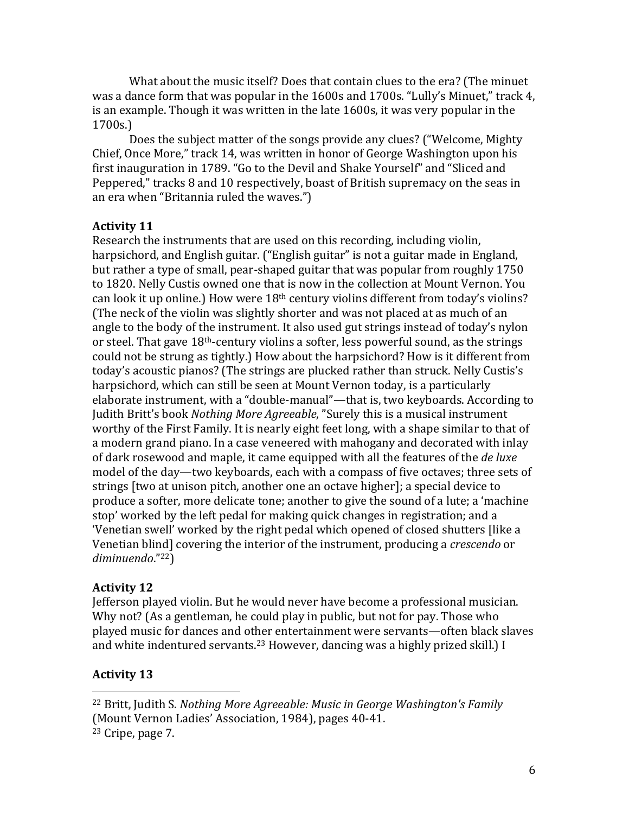What about the music itself? Does that contain clues to the era? (The minuet was a dance form that was popular in the 1600s and 1700s. "Lully's Minuet," track 4, is an example. Though it was written in the late 1600s, it was very popular in the 1700s.)

Does the subject matter of the songs provide any clues? ("Welcome, Mighty Chief, Once More," track 14, was written in honor of George Washington upon his first inauguration in 1789. "Go to the Devil and Shake Yourself" and "Sliced and Peppered," tracks 8 and 10 respectively, boast of British supremacy on the seas in an era when "Britannia ruled the waves."

## **Activity 11**

Research the instruments that are used on this recording, including violin, harpsichord, and English guitar. ("English guitar" is not a guitar made in England, but rather a type of small, pear-shaped guitar that was popular from roughly  $1750$ to 1820. Nelly Custis owned one that is now in the collection at Mount Vernon. You can look it up online.) How were  $18<sup>th</sup>$  century violins different from today's violins? (The neck of the violin was slightly shorter and was not placed at as much of an angle to the body of the instrument. It also used gut strings instead of today's nylon or steel. That gave  $18<sup>th</sup>$ -century violins a softer, less powerful sound, as the strings could not be strung as tightly.) How about the harpsichord? How is it different from today's acoustic pianos? (The strings are plucked rather than struck. Nelly Custis's harpsichord, which can still be seen at Mount Vernon today, is a particularly elaborate instrument, with a "double-manual"—that is, two keyboards. According to Judith Britt's book *Nothing More Agreeable*, "Surely this is a musical instrument worthy of the First Family. It is nearly eight feet long, with a shape similar to that of a modern grand piano. In a case veneered with mahogany and decorated with inlay of dark rosewood and maple, it came equipped with all the features of the *de luxe* model of the day—two keyboards, each with a compass of five octaves; three sets of strings [two at unison pitch, another one an octave higher]; a special device to produce a softer, more delicate tone; another to give the sound of a lute; a 'machine stop' worked by the left pedal for making quick changes in registration; and a 'Venetian swell' worked by the right pedal which opened of closed shutters [like a Venetian blind] covering the interior of the instrument, producing a *crescendo* or *diminuendo*."22)

### **Activity 12**

Jefferson played violin. But he would never have become a professional musician. Why not? (As a gentleman, he could play in public, but not for pay. Those who played music for dances and other entertainment were servants—often black slaves and white indentured servants.<sup>23</sup> However, dancing was a highly prized skill.) I

## **Activity 13**

<sup>&</sup>lt;sup>22</sup> Britt, Judith S. *Nothing More Agreeable: Music in George Washington's Family* (Mount Vernon Ladies' Association, 1984), pages 40-41.

 $23$  Cripe, page 7.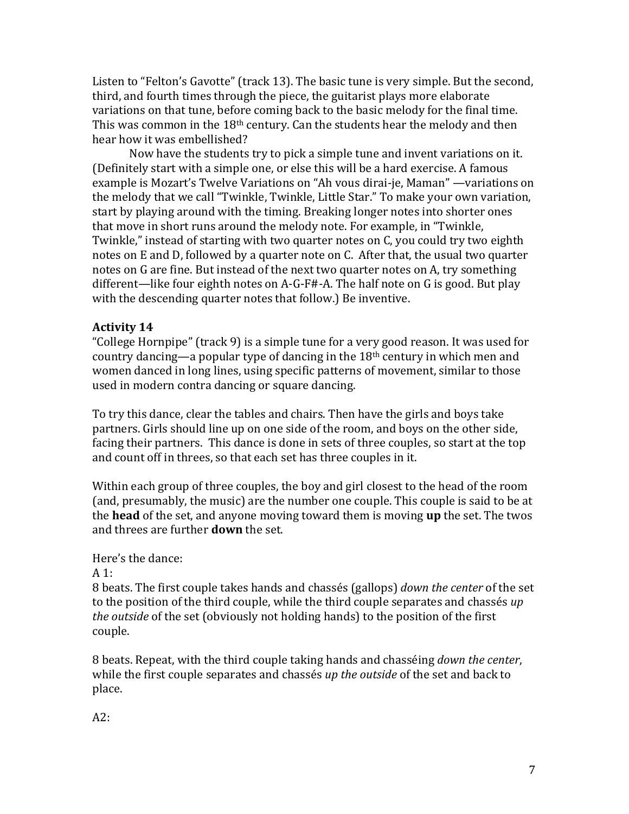Listen to "Felton's Gavotte" (track 13). The basic tune is very simple. But the second, third, and fourth times through the piece, the guitarist plays more elaborate variations on that tune, before coming back to the basic melody for the final time. This was common in the  $18<sup>th</sup>$  century. Can the students hear the melody and then hear how it was embellished?

Now have the students try to pick a simple tune and invent variations on it. (Definitely start with a simple one, or else this will be a hard exercise. A famous example is Mozart's Twelve Variations on "Ah vous dirai-je, Maman" —variations on the melody that we call "Twinkle, Twinkle, Little Star." To make your own variation, start by playing around with the timing. Breaking longer notes into shorter ones that move in short runs around the melody note. For example, in "Twinkle, Twinkle," instead of starting with two quarter notes on C, you could try two eighth notes on E and D, followed by a quarter note on C. After that, the usual two quarter notes on G are fine. But instead of the next two quarter notes on A, try something different—like four eighth notes on A-G-F#-A. The half note on G is good. But play with the descending quarter notes that follow.) Be inventive.

## **Activity 14**

"College Hornpipe" (track 9) is a simple tune for a very good reason. It was used for country dancing—a popular type of dancing in the  $18<sup>th</sup>$  century in which men and women danced in long lines, using specific patterns of movement, similar to those used in modern contra dancing or square dancing.

To try this dance, clear the tables and chairs. Then have the girls and boys take partners. Girls should line up on one side of the room, and boys on the other side, facing their partners. This dance is done in sets of three couples, so start at the top and count off in threes, so that each set has three couples in it.

Within each group of three couples, the boy and girl closest to the head of the room (and, presumably, the music) are the number one couple. This couple is said to be at the **head** of the set, and anyone moving toward them is moving **up** the set. The twos and threes are further **down** the set.

## Here's the dance:

 $A<sub>1</sub>$ :

8 beats. The first couple takes hands and chassés (gallops) *down the center* of the set to the position of the third couple, while the third couple separates and chassés *up the outside* of the set (obviously not holding hands) to the position of the first couple. 

8 beats. Repeat, with the third couple taking hands and chasséing *down the center*, while the first couple separates and chassés *up* the *outside* of the set and back to place. 

A2: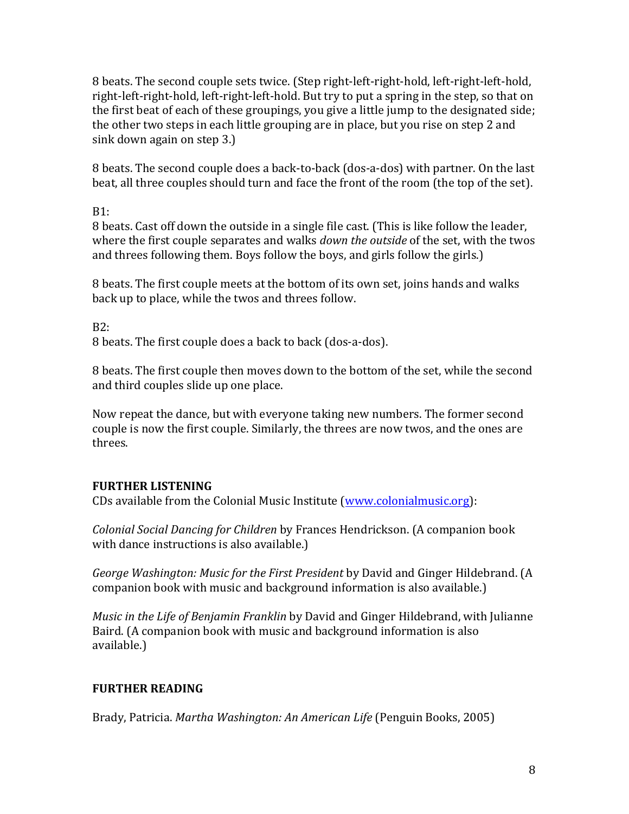8 beats. The second couple sets twice. (Step right-left-right-hold, left-right-left-hold, right-left-right-hold, left-right-left-hold. But try to put a spring in the step, so that on the first beat of each of these groupings, you give a little jump to the designated side; the other two steps in each little grouping are in place, but you rise on step 2 and sink down again on step 3.)

8 beats. The second couple does a back-to-back (dos-a-dos) with partner. On the last beat, all three couples should turn and face the front of the room (the top of the set).

B1:

8 beats. Cast off down the outside in a single file cast. (This is like follow the leader, where the first couple separates and walks *down the outside* of the set, with the twos and threes following them. Boys follow the boys, and girls follow the girls.)

8 beats. The first couple meets at the bottom of its own set, joins hands and walks back up to place, while the twos and threes follow.

B2:

8 beats. The first couple does a back to back (dos-a-dos).

8 beats. The first couple then moves down to the bottom of the set, while the second and third couples slide up one place.

Now repeat the dance, but with everyone taking new numbers. The former second couple is now the first couple. Similarly, the threes are now twos, and the ones are threes. 

## **FURTHER LISTENING**

CDs available from the Colonial Music Institute (www.colonialmusic.org):

*Colonial Social Dancing for Children* by Frances Hendrickson. (A companion book with dance instructions is also available.)

*George Washington: Music for the First President* by David and Ginger Hildebrand. (A companion book with music and background information is also available.)

*Music in the Life of Benjamin Franklin* by David and Ginger Hildebrand, with Julianne Baird. (A companion book with music and background information is also available.)

# **FURTHER READING**

Brady, Patricia. *Martha Washington: An American Life* (Penguin Books, 2005)